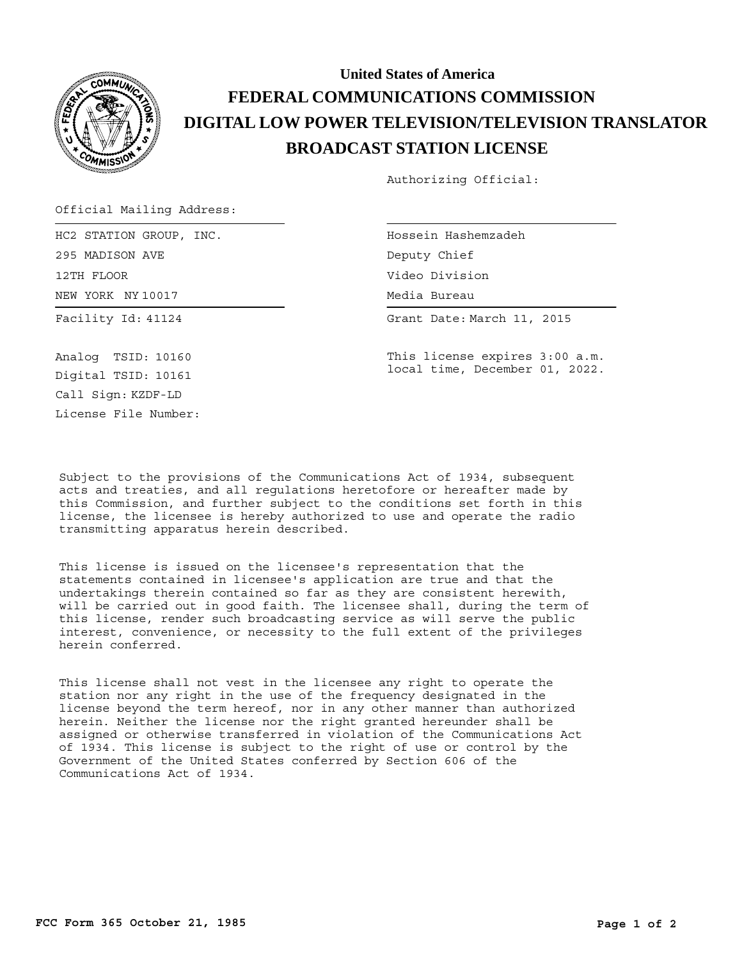

## **BROADCAST STATION LICENSE DIGITAL LOW POWER TELEVISION/TELEVISION TRANSLATOR FEDERAL COMMUNICATIONS COMMISSION United States of America**

Authorizing Official:

Official Mailing Address:

Facility Id: 41124 NEW YORK NY 10017 HC2 STATION GROUP, INC. 295 MADISON AVE 12TH FLOOR

Hossein Hashemzadeh Media Bureau Media Bureau Deputy Chief Video Division

Grant Date: March 11, 2015

This license expires 3:00 a.m. local time, December 01, 2022.

Call Sign: KZDF-LD License File Number: Analog TSID: 10160 Digital TSID: 10161

Subject to the provisions of the Communications Act of 1934, subsequent acts and treaties, and all regulations heretofore or hereafter made by this Commission, and further subject to the conditions set forth in this license, the licensee is hereby authorized to use and operate the radio transmitting apparatus herein described.

This license is issued on the licensee's representation that the statements contained in licensee's application are true and that the undertakings therein contained so far as they are consistent herewith, will be carried out in good faith. The licensee shall, during the term of this license, render such broadcasting service as will serve the public interest, convenience, or necessity to the full extent of the privileges herein conferred.

This license shall not vest in the licensee any right to operate the station nor any right in the use of the frequency designated in the license beyond the term hereof, nor in any other manner than authorized herein. Neither the license nor the right granted hereunder shall be assigned or otherwise transferred in violation of the Communications Act of 1934. This license is subject to the right of use or control by the Government of the United States conferred by Section 606 of the Communications Act of 1934.